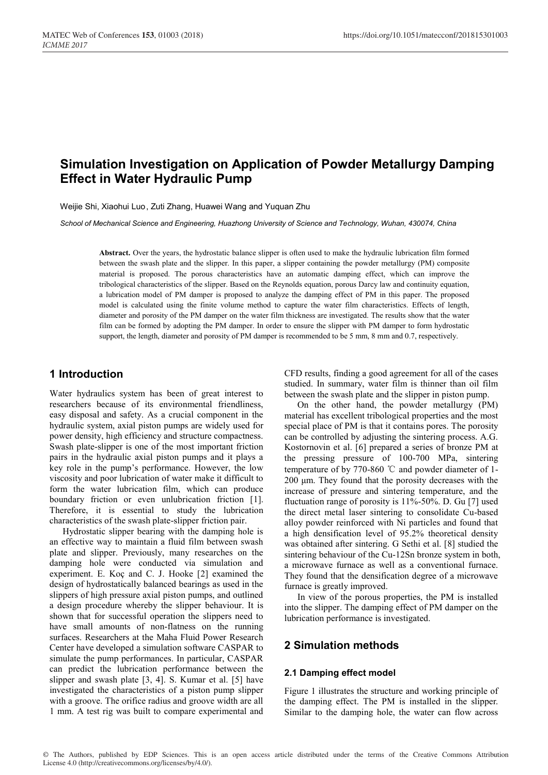# **Simulation Investigation on Application of Powder Metallurgy Damping Effect in Water Hydraulic Pump**

Weijie Shi, Xiaohui Luo, Zuti Zhang, Huawei Wang and Yuquan Zhu

*School of Mechanical Science and Engineering, Huazhong University of Science and Technology, Wuhan, 430074, China*

**Abstract.** Over the years, the hydrostatic balance slipper is often used to make the hydraulic lubrication film formed between the swash plate and the slipper. In this paper, a slipper containing the powder metallurgy (PM) composite material is proposed. The porous characteristics have an automatic damping effect, which can improve the tribological characteristics of the slipper. Based on the Reynolds equation, porous Darcy law and continuity equation, a lubrication model of PM damper is proposed to analyze the damping effect of PM in this paper. The proposed model is calculated using the finite volume method to capture the water film characteristics. Effects of length, diameter and porosity of the PM damper on the water film thickness are investigated. The results show that the water film can be formed by adopting the PM damper. In order to ensure the slipper with PM damper to form hydrostatic support, the length, diameter and porosity of PM damper is recommended to be 5 mm, 8 mm and 0.7, respectively.

## **1 Introduction**

Water hydraulics system has been of great interest to researchers because of its environmental friendliness, easy disposal and safety. As a crucial component in the hydraulic system, axial piston pumps are widely used for power density, high efficiency and structure compactness. Swash plate-slipper is one of the most important friction pairs in the hydraulic axial piston pumps and it plays a key role in the pump's performance. However, the low viscosity and poor lubrication of water make it difficult to form the water lubrication film, which can produce boundary friction or even unlubrication friction [1]. Therefore, it is essential to study the lubrication characteristics of the swash plate-slipper friction pair.

Hydrostatic slipper bearing with the damping hole is an effective way to maintain a fluid film between swash plate and slipper. Previously, many researches on the damping hole were conducted via simulation and experiment. E. Koç and C. J. Hooke [2] examined the design of hydrostatically balanced bearings as used in the slippers of high pressure axial piston pumps, and outlined a design procedure whereby the slipper behaviour. It is shown that for successful operation the slippers need to have small amounts of non-flatness on the running surfaces. Researchers at the Maha Fluid Power Research Center have developed a simulation software CASPAR to simulate the pump performances. In particular, CASPAR can predict the lubrication performance between the slipper and swash plate [3, 4]. S. Kumar et al. [5] have investigated the characteristics of a piston pump slipper with a groove. The orifice radius and groove width are all 1 mm. A test rig was built to compare experimental and

CFD results, finding a good agreement for all of the cases studied. In summary, water film is thinner than oil film between the swash plate and the slipper in piston pump.

On the other hand, the powder metallurgy (PM) material has excellent tribological properties and the most special place of PM is that it contains pores. The porosity can be controlled by adjusting the sintering process. A.G. Kostornovin et al. [6] prepared a series of bronze PM at the pressing pressure of 100-700 MPa, sintering temperature of by 770-860 ℃ and powder diameter of 1- 200 μm. They found that the porosity decreases with the increase of pressure and sintering temperature, and the fluctuation range of porosity is 11%-50%. D. Gu [7] used the direct metal laser sintering to consolidate Cu-based alloy powder reinforced with Ni particles and found that a high densification level of 95.2% theoretical density was obtained after sintering. G Sethi et al. [8] studied the sintering behaviour of the Cu-12Sn bronze system in both, a microwave furnace as well as a conventional furnace. They found that the densification degree of a microwave furnace is greatly improved.

In view of the porous properties, the PM is installed into the slipper. The damping effect of PM damper on the lubrication performance is investigated.

### **2 Simulation methods**

### **2.1 Damping effect model**

Figure 1 illustrates the structure and working principle of the damping effect. The PM is installed in the slipper. Similar to the damping hole, the water can flow across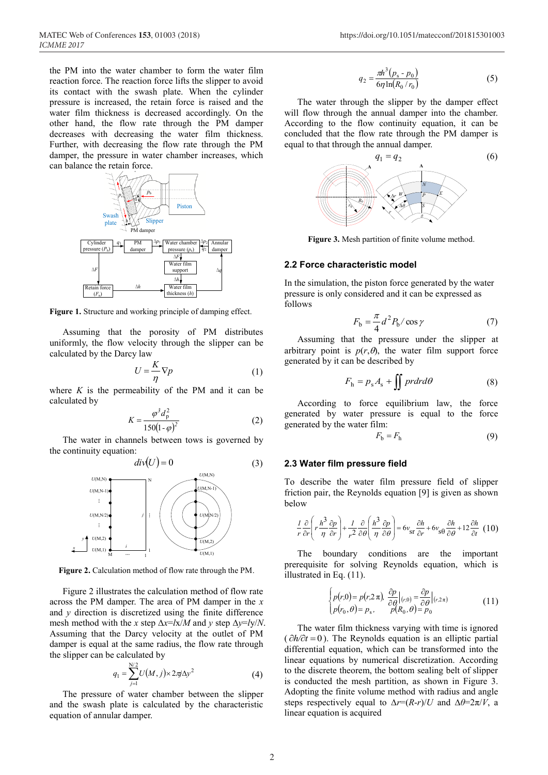the PM into the water chamber to form the water film reaction force. The reaction force lifts the slipper to avoid its contact with the swash plate. When the cylinder pressure is increased, the retain force is raised and the water film thickness is decreased accordingly. On the other hand, the flow rate through the PM damper decreases with decreasing the water film thickness. Further, with decreasing the flow rate through the PM damper, the pressure in water chamber increases, which can balance the retain force.



**Figure 1.** Structure and working principle of damping effect.

Assuming that the porosity of PM distributes uniformly, the flow velocity through the slipper can be calculated by the Darcy law

$$
U = \frac{K}{\eta} \nabla p \tag{1}
$$

where  $K$  is the permeability of the PM and it can be calculated by

$$
K = \frac{\varphi^3 d_p^2}{150(1 - \varphi)^2}
$$
 (2)

The water in channels between tows is governed by the continuity equation:



Figure 2. Calculation method of flow rate through the PM.

Figure 2 illustrates the calculation method of flow rate across the PM damper. The area of PM damper in the *x* and *y* direction is discretized using the finite difference mesh method with the *x* step  $\Delta x = \frac{lx}{M}$  and *y* step  $\Delta y = \frac{ly}{N}$ . Assuming that the Darcy velocity at the outlet of PM damper is equal at the same radius, the flow rate through the slipper can be calculated by

$$
q_1 = \sum_{j=1}^{N/2} U(M, j) \times 2\pi j \Delta y^2 \tag{4}
$$

The pressure of water chamber between the slipper and the swash plate is calculated by the characteristic equation of annular damper.

$$
q_2 = \frac{\pi h^3 (p_s - p_0)}{6\eta \ln(R_0/r_0)}\tag{5}
$$

The water through the slipper by the damper effect will flow through the annual damper into the chamber. According to the flow continuity equation, it can be concluded that the flow rate through the PM damper is equal to that through the annual damper.



**Figure 3.** Mesh partition of finite volume method.

#### **2.2 Force characteristic model**

In the simulation, the piston force generated by the water pressure is only considered and it can be expressed as follows

$$
F_{\rm b} = \frac{\pi}{4} d^2 P_{\rm b} / \cos \gamma \tag{7}
$$

Assuming that the pressure under the slipper at arbitrary point is  $p(r, \theta)$ , the water film support force generated by it can be described by

$$
F_{\rm h} = p_{\rm s} A_{\rm s} + \iint pr dr d\theta \tag{8}
$$

According to force equilibrium law, the force generated by water pressure is equal to the force generated by the water film:

$$
F_{\rm b} = F_{\rm h} \tag{9}
$$

#### **2.3 Water film pressure field**

To describe the water film pressure field of slipper friction pair, the Reynolds equation [9] is given as shown below

$$
\frac{1}{r} \frac{\partial}{\partial r} \left( r \frac{h^3}{\eta} \frac{\partial p}{\partial r} \right) + \frac{1}{r^2} \frac{\partial}{\partial \theta} \left( \frac{h^3}{\eta} \frac{\partial p}{\partial \theta} \right) = 6v_{\text{ST}} \frac{\partial h}{\partial r} + 6v_{\text{S}} \frac{\partial h}{\partial \theta} + 12 \frac{\partial h}{\partial t} \tag{10}
$$

The boundary conditions are the important prerequisite for solving Reynolds equation, which is illustrated in Eq. (11).

$$
\begin{cases}\np(r,0) = p(r,2\pi), \frac{\partial p}{\partial \theta}|_{(r,0)} = \frac{\partial p}{\partial \theta}|_{(r,2\pi)} \\
p(r_0,\theta) = p_s, \quad p(R_0,\theta) = p_0\n\end{cases}
$$
\n(11)

The water film thickness varying with time is ignored  $(\partial h/\partial t = 0)$ . The Reynolds equation is an elliptic partial differential equation, which can be transformed into the linear equations by numerical discretization. According to the discrete theorem, the bottom sealing belt of slipper is conducted the mesh partition, as shown in Figure 3. Adopting the finite volume method with radius and angle steps respectively equal to  $\Delta r = (R - r)/U$  and  $\Delta \theta = 2\pi/V$ , a linear equation is acquired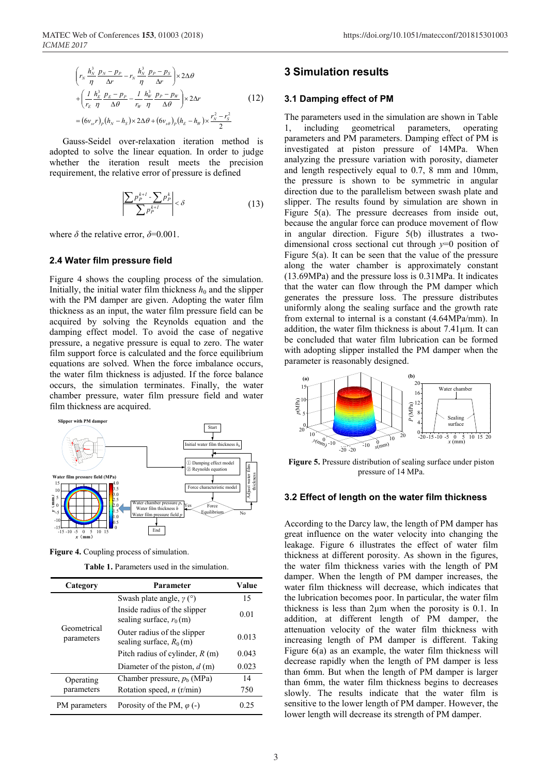$$
\left(r_N \frac{h_N^3}{\eta} \frac{p_N - p_P}{\Delta r} - r_N \frac{h_N^3}{\eta} \frac{p_P - p_S}{\Delta r}\right) \times 2\Delta \theta
$$
\n
$$
+ \left(\frac{I}{r_E} \frac{h_E^3}{\eta} \frac{p_E - p_P}{\Delta \theta} - \frac{I}{r_W} \frac{h_W^3}{\eta} \frac{p_P - p_W}{\Delta \theta}\right) \times 2\Delta r
$$
\n
$$
= (6v_{sr}r)_P (h_N - h_S) \times 2\Delta \theta + (6v_{sg})_P (h_E - h_W) \times \frac{r_N^2 - r_S^2}{2}
$$
\n(12)

Gauss-Seidel over-relaxation iteration method is adopted to solve the linear equation. In order to judge whether the iteration result meets the precision requirement, the relative error of pressure is defined

$$
\left| \frac{\sum p_p^{k+l} \cdot \sum p_p^k}{\sum p_p^{k+l}} \right| < \delta \tag{13}
$$

where  $\delta$  the relative error,  $\delta$ =0.001.

#### **2.4 Water film pressure field**

Figure 4 shows the coupling process of the simulation. Initially, the initial water film thickness  $h_0$  and the slipper with the PM damper are given. Adopting the water film thickness as an input, the water film pressure field can be acquired by solving the Reynolds equation and the damping effect model. To avoid the case of negative pressure, a negative pressure is equal to zero. The water film support force is calculated and the force equilibrium equations are solved. When the force imbalance occurs, the water film thickness is adjusted. If the force balance occurs, the simulation terminates. Finally, the water chamber pressure, water film pressure field and water film thickness are acquired.



Figure 4. Coupling process of simulation.

**Table 1.** Parameters used in the simulation.

| Category                  | Parameter                                                  | Value |
|---------------------------|------------------------------------------------------------|-------|
| Geometrical<br>parameters | Swash plate angle, $\gamma$ ( $\degree$ )                  | 15    |
|                           | Inside radius of the slipper<br>sealing surface, $r_0$ (m) | 0.01  |
|                           | Outer radius of the slipper<br>sealing surface, $R_0(m)$   | 0.013 |
|                           | Pitch radius of cylinder, $R(m)$                           | 0.043 |
|                           | Diameter of the piston, $d(m)$                             | 0.023 |
| Operating<br>parameters   | Chamber pressure, $p_h(MPa)$                               | 14    |
|                           | Rotation speed, $n(r/min)$                                 | 750   |
| PM parameters             | Porosity of the PM, $\varphi$ (-)                          | 0.25  |

### **3 Simulation results**

### **3.1 Damping effect of PM**

The parameters used in the simulation are shown in Table 1, including geometrical parameters, operating parameters and PM parameters. Damping effect of PM is investigated at piston pressure of 14MPa. When analyzing the pressure variation with porosity, diameter and length respectively equal to 0.7, 8 mm and 10mm, the pressure is shown to be symmetric in angular direction due to the parallelism between swash plate and slipper. The results found by simulation are shown in Figure 5(a). The pressure decreases from inside out, because the angular force can produce movement of flow in angular direction. Figure 5(b) illustrates a twodimensional cross sectional cut through *y*=0 position of Figure 5(a). It can be seen that the value of the pressure along the water chamber is approximately constant (13.69MPa) and the pressure loss is 0.31MPa. It indicates that the water can flow through the PM damper which generates the pressure loss. The pressure distributes uniformly along the sealing surface and the growth rate from external to internal is a constant (4.64MPa/mm). In addition, the water film thickness is about 7.41μm. It can be concluded that water film lubrication can be formed with adopting slipper installed the PM damper when the parameter is reasonably designed.



**Figure 5.** Pressure distribution of sealing surface under piston pressure of 14 MPa.

### **3.2 Effect of length on the water film thickness**

According to the Darcy law, the length of PM damper has great influence on the water velocity into changing the leakage. Figure 6 illustrates the effect of water film thickness at different porosity. As shown in the figures, the water film thickness varies with the length of PM damper. When the length of PM damper increases, the water film thickness will decrease, which indicates that the lubrication becomes poor. In particular, the water film thickness is less than 2μm when the porosity is 0.1. In addition, at different length of PM damper, the attenuation velocity of the water film thickness with increasing length of PM damper is different. Taking Figure 6(a) as an example, the water film thickness will decrease rapidly when the length of PM damper is less than 6mm. But when the length of PM damper is larger than 6mm, the water film thickness begins to decreases slowly. The results indicate that the water film is sensitive to the lower length of PM damper. However, the lower length will decrease its strength of PM damper.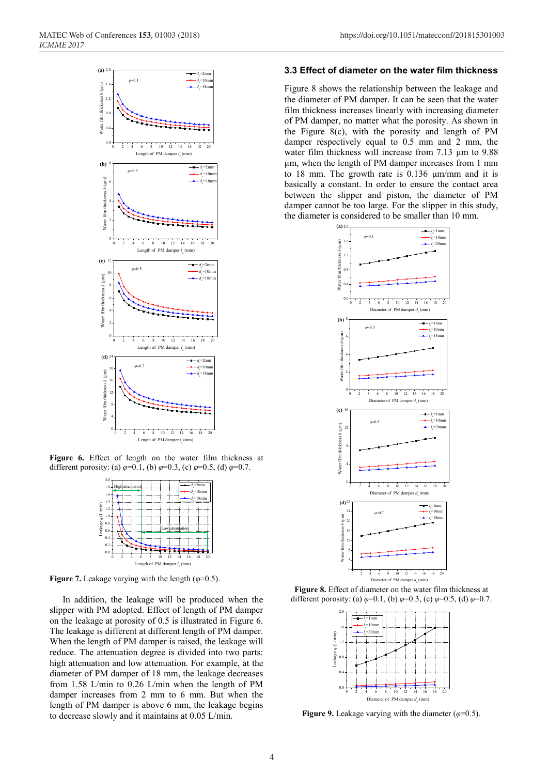

**Figure 6.** Effect of length on the water film thickness at different porosity: (a)  $\varphi=0.1$ , (b)  $\varphi=0.3$ , (c)  $\varphi=0.5$ , (d)  $\varphi=0.7$ .



**Figure 7.** Leakage varying with the length ( $\varphi$ =0.5).

In addition, the leakage will be produced when the slipper with PM adopted. Effect of length of PM damper on the leakage at porosity of 0.5 is illustrated in Figure 6. The leakage is different at different length of PM damper. When the length of PM damper is raised, the leakage will reduce. The attenuation degree is divided into two parts: high attenuation and low attenuation. For example, at the diameter of PM damper of 18 mm, the leakage decreases from 1.58 L/min to 0.26 L/min when the length of PM damper increases from 2 mm to 6 mm. But when the length of PM damper is above 6 mm, the leakage begins to decrease slowly and it maintains at 0.05 L/min.

#### **3.3 Effect of diameter on the water film thickness**

Figure 8 shows the relationship between the leakage and the diameter of PM damper. It can be seen that the water film thickness increases linearly with increasing diameter of PM damper, no matter what the porosity. As shown in the Figure 8(c), with the porosity and length of PM damper respectively equal to 0.5 mm and 2 mm, the water film thickness will increase from 7.13 μm to 9.88 μm, when the length of PM damper increases from 1 mm to 18 mm. The growth rate is 0.136 μm/mm and it is basically a constant. In order to ensure the contact area between the slipper and piston, the diameter of PM damper cannot be too large. For the slipper in this study, the diameter is considered to be smaller than 10 mm.



**Figure 8.** Effect of diameter on the water film thickness at different porosity: (a)  $\varphi=0.1$ , (b)  $\varphi=0.3$ , (c)  $\varphi=0.5$ , (d)  $\varphi=0.7$ .



**Figure 9.** Leakage varying with the diameter  $(\varphi=0.5)$ .